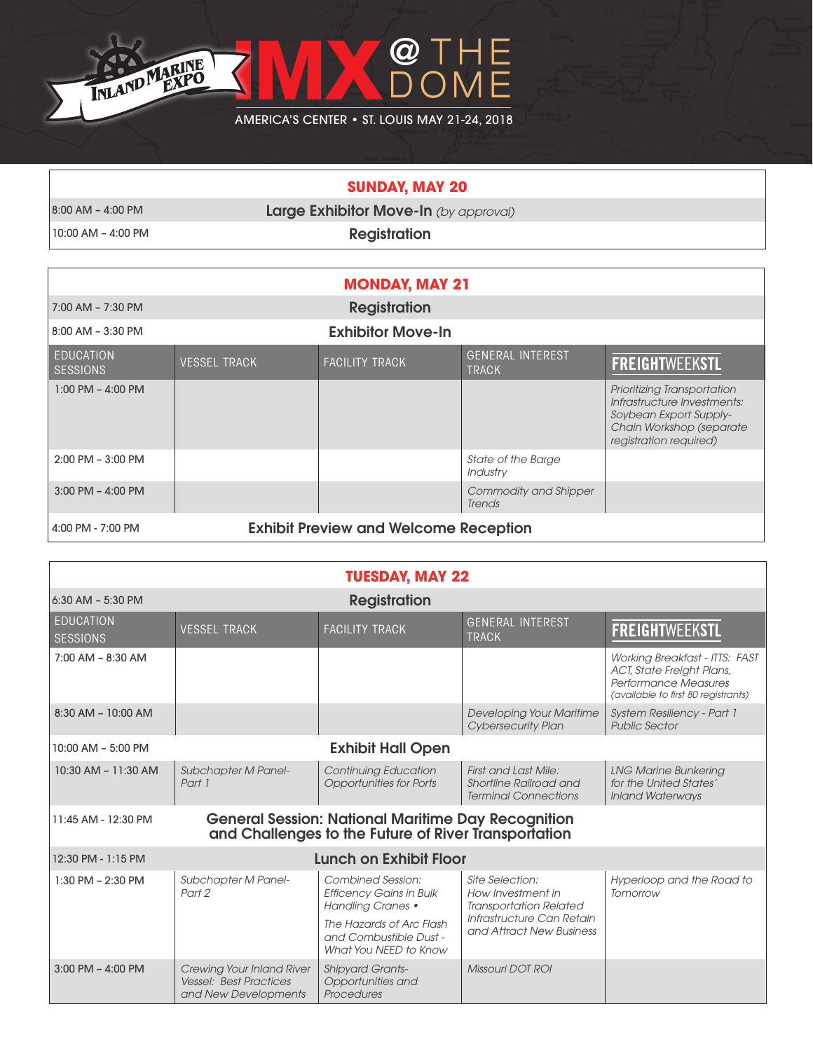

## **SUNDAY, MAY 20**

|  | 8:00 AM – 4:00 PM |  |
|--|-------------------|--|
|  |                   |  |

**Large Exhibitor Move-In** *(by approval)* 

10:00 AM – 4:00 PM **Registration** 

| <b>MONDAY, MAY 21</b>               |                     |                                              |                                         |                                                                                                                                            |
|-------------------------------------|---------------------|----------------------------------------------|-----------------------------------------|--------------------------------------------------------------------------------------------------------------------------------------------|
| 7:00 AM - 7:30 PM                   |                     | <b>Registration</b>                          |                                         |                                                                                                                                            |
| 8:00 AM - 3:30 PM                   |                     | <b>Exhibitor Move-In</b>                     |                                         |                                                                                                                                            |
| <b>EDUCATION</b><br><b>SESSIONS</b> | <b>VESSEL TRACK</b> | <b>FACILITY TRACK</b>                        | <b>GENERAL INTEREST</b><br><b>TRACK</b> | <b>FREIGHTWEEKSTL</b>                                                                                                                      |
| $1:00$ PM $-$ 4:00 PM               |                     |                                              |                                         | Prioritizing Transportation<br>Infrastructure Investments:<br>Soybean Export Supply-<br>Chain Workshop (separate<br>registration required) |
| $2:00$ PM $-3:00$ PM                |                     |                                              | <b>State of the Barge</b><br>Industry   |                                                                                                                                            |
| $3:00$ PM $-$ 4:00 PM               |                     |                                              | <b>Commodity and Shipper</b><br>Trends  |                                                                                                                                            |
| 4:00 PM - 7:00 PM                   |                     | <b>Exhibit Preview and Welcome Reception</b> |                                         |                                                                                                                                            |

|                                                     |                                                                                    | <b>TUESDAY, MAY 22</b>                                                                                            |                                                                                      |                                                                                                                                          |
|-----------------------------------------------------|------------------------------------------------------------------------------------|-------------------------------------------------------------------------------------------------------------------|--------------------------------------------------------------------------------------|------------------------------------------------------------------------------------------------------------------------------------------|
| <b>Registration</b><br>$6:30$ AM - $5:30$ PM        |                                                                                    |                                                                                                                   |                                                                                      |                                                                                                                                          |
| <b>EDUCATION</b><br><b>SESSIONS</b>                 | <b>VESSEL TRACK</b>                                                                | <b>FACILITY TRACK</b>                                                                                             | <b>GENERAL INTEREST</b><br><b>TRACK</b>                                              | <b>FREIGHTWEEKSTL</b>                                                                                                                    |
| $7:00$ AM $-$ 8:30 AM                               |                                                                                    |                                                                                                                   |                                                                                      | <b>Working Breakfast - ITTS: FAST</b><br><b>ACT, State Freight Plans,</b><br>Performance Measures<br>(available to first 80 registrants) |
| 8:30 AM - 10:00 AM                                  |                                                                                    |                                                                                                                   | <b>Developing Your Maritime</b><br><b>Cybersecurity Plan</b>                         | System Resiliency - Part 1<br><b>Public Sector</b>                                                                                       |
| 10:00 AM - 5:00 PM                                  |                                                                                    | <b>Exhibit Hall Open</b>                                                                                          |                                                                                      |                                                                                                                                          |
| 10:30 AM - 11:30 AM                                 | Subchapter M Panel-<br>Part 1                                                      | <b>Continuing Education</b><br><b>Opportunities for Ports</b>                                                     | <b>First and Last Mile:</b><br>Shortline Railroad and<br><b>Terminal Connections</b> | <b>LNG Marine Bunkering</b><br>for the United States'<br><b>Inland Waterways</b>                                                         |
| 11:45 AM - 12:30 PM                                 |                                                                                    | <b>General Session: National Maritime Day Recognition</b><br>and Challenges to the Future of River Transportation |                                                                                      |                                                                                                                                          |
| <b>Lunch on Exhibit Floor</b><br>12:30 PM - 1:15 PM |                                                                                    |                                                                                                                   |                                                                                      |                                                                                                                                          |
| $1:30$ PM $- 2:30$ PM                               | <b>Subchapter M Panel-</b><br>Part 2                                               | <b>Combined Session:</b><br><b>Efficency Gains in Bulk</b><br><b>Handling Cranes •</b>                            | Site Selection:<br>How Investment in<br><b>Transportation Related</b>                | Hyperloop and the Road to<br>Tomorrow                                                                                                    |
|                                                     |                                                                                    | The Hazards of Arc Flash<br>and Combustible Dust -<br>What You NEED to Know                                       | Infrastructure Can Retain<br>and Attract New Business                                |                                                                                                                                          |
| $3:00$ PM $-$ 4:00 PM                               | Crewing Your Inland River<br><b>Vessel: Best Practices</b><br>and New Developments | <b>Shipyard Grants-</b><br>Opportunities and<br>Procedures                                                        | Missouri DOT ROI                                                                     |                                                                                                                                          |